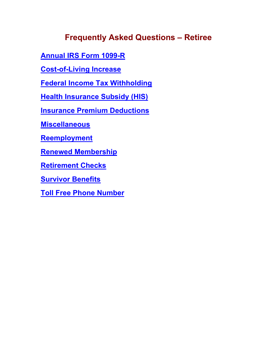# **Frequently Asked Questions – Retiree**

**[Annual IRS Form 1099-R](#page-1-0)**

**[Cost-of-Living Increase](#page-1-1)**

**[Federal Income Tax Withholding](#page-1-2)**

**[Health Insurance Subsidy \(HIS\)](#page-2-0)**

**[Insurance Premium Deductions](#page-3-0)**

**[Miscellaneous](#page-4-0)**

**[Reemployment](#page-4-1)**

**Renewed [Membership](#page-5-0)**

**[Retirement Checks](#page-6-0)**

**[Survivor Benefits](#page-6-1)**

**[Toll Free Phone Number](#page-8-0)**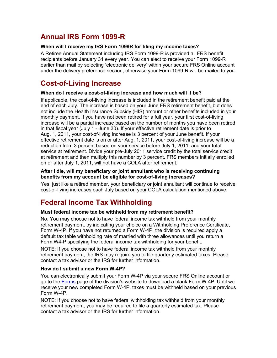## <span id="page-1-0"></span>**Annual IRS Form 1099-R**

### **When will I receive my IRS Form 1099R for filing my income taxes?**

A Retiree Annual Statement including IRS Form 1099-R is provided all FRS benefit recipients before January 31 every year. You can elect to receive your Form 1099-R earlier than mail by selecting 'electronic delivery' within your secure FRS Online account under the delivery preference section, otherwise your Form 1099-R will be mailed to you.

## <span id="page-1-1"></span>**Cost-of-Living Increase**

### **When do I receive a cost-of-living increase and how much will it be?**

If applicable, the cost-of-living increase is included in the retirement benefit paid at the end of each July. The increase is based on your June FRS retirement benefit, but does not include the Health Insurance Subsidy (HIS) amount or other benefits included in your monthly payment. If you have not been retired for a full year, your first cost-of-living increase will be a partial increase based on the number of months you have been retired in that fiscal year (July 1 - June 30). If your effective retirement date is prior to Aug. 1, 2011, your cost-of-living increase is 3 percent of your June benefit. If your effective retirement date is on or after Aug. 1, 2011, your cost-of-living increase will be a reduction from 3 percent based on your service before July 1, 2011, and your total service at retirement. Divide your pre-July 2011 service credit by the total service credit at retirement and then multiply this number by 3 percent. FRS members initially enrolled on or after July 1, 2011, will not have a COLA after retirement.

### **After I die, will my beneficiary or joint annuitant who is receiving continuing benefits from my account be eligible for cost-of-living increases?**

Yes, just like a retired member, your beneficiary or joint annuitant will continue to receive cost-of-living increases each July based on your COLA calculation mentioned above.

## <span id="page-1-2"></span>**Federal Income Tax Withholding**

### **Must federal income tax be withheld from my retirement benefit?**

No. You may choose not to have federal income tax withheld from your monthly retirement payment, by indicating your choice on a Withholding Preference Certificate, Form W-4P. If you have not returned a Form W-4P, the division is required apply a default tax table withholding rate of married with three allowances until you return a Form W4-P specifying the federal income tax withholding for your benefit.

NOTE: If you choose not to have federal income tax withheld from your monthly retirement payment, the IRS may require you to file quarterly estimated taxes. Please contact a tax advisor or the IRS for further information.

### **How do I submit a new Form W-4P?**

You can electronically submit your Form W-4P via your secure FRS Online account or go to the [Forms](http://dms.myflorida.com/human_resource_support/retirement/forms) page of the division's website to download a blank Form W-4P. Until we receive your new completed Form W-4P, taxes must be withheld based on your previous Form W-4P.

NOTE: If you choose not to have federal withholding tax withheld from your monthly retirement payment, you may be required to file a quarterly estimated tax. Please contact a tax advisor or the IRS for further information.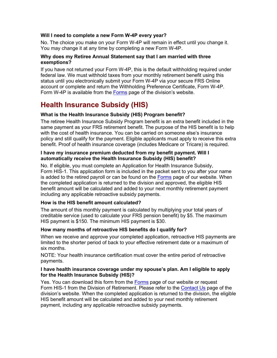### **Will I need to complete a new Form W-4P every year?**

No. The choice you make on your Form W-4P will remain in effect until you change it. You may change it at any time by completing a new Form W-4P.

### **Why does my Retiree Annual Statement say that I am married with three exemptions?**

If you have not returned your Form W-4P, this is the default withholding required under federal law. We must withhold taxes from your monthly retirement benefit using this status until you electronically submit your Form W-4P via your secure FRS Online account or complete and return the Withholding Preference Certificate, Form W-4P. Form W-4P is available from the [Forms](http://dms.myflorida.com/human_resource_support/retirement/forms) page of the division's website.

## <span id="page-2-0"></span>**Health Insurance Subsidy (HIS)**

### **What is the Health Insurance Subsidy (HIS) Program benefit?**

The retiree Health Insurance Subsidy Program benefit is an extra benefit included in the same payment as your FRS retirement benefit. The purpose of the HIS benefit is to help with the cost of health insurance. You can be carried on someone else's insurance policy and still qualify for the payment. Eligible applicants must apply to receive this extra benefit. Proof of health insurance coverage (includes Medicare or Tricare) is required.

### **I have my insurance premium deducted from my benefit payment. Will I automatically receive the Health Insurance Subsidy (HIS) benefit?**

No. If eligible, you must complete an Application for Health Insurance Subsidy, Form HIS-1. This application form is included in the packet sent to you after your name is added to the retired payroll or can be found on the [Forms](http://www.dms.myflorida.com/human_resource_support/retirement/forms) page of our website. When the completed application is returned to the division and approved, the eligible HIS benefit amount will be calculated and added to your next monthly retirement payment including any applicable retroactive subsidy payments.

### **How is the HIS benefit amount calculated?**

The amount of this monthly payment is calculated by multiplying your total years of creditable service (used to calculate your FRS pension benefit) by \$5. The maximum HIS payment is \$150. The minimum HIS payment is \$30.

### **How many months of retroactive HIS benefits do I qualify for?**

When we receive and approve your completed application, retroactive HIS payments are limited to the shorter period of back to your effective retirement date or a maximum of six months.

NOTE: Your health insurance certification must cover the entire period of retroactive payments.

### **I have health insurance coverage under my spouse's plan. Am I eligible to apply for the Health Insurance Subsidy (HIS)?**

Yes. You can download this form from the [Forms](http://www.dms.myflorida.com/human_resource_support/retirement/forms) page of our website or request Form HIS-1 from the Division of Retirement. Please refer to the [Contact Us](http://dms.myflorida.com/human_resource_support/retirement/contact_us) page of the division's website. When the completed application is returned to the division, the eligible HIS benefit amount will be calculated and added to your next monthly retirement payment, including any applicable retroactive subsidy payments.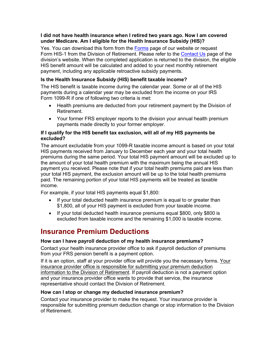### **I did not have health insurance when I retired two years ago. Now I am covered under Medicare. Am I eligible for the Health Insurance Subsidy (HIS)?**

Yes. You can download this form from the [Forms](http://www.dms.myflorida.com/human_resource_support/retirement/forms) page of our website or request Form HIS-1 from the Division of Retirement. Please refer to the [Contact Us](http://dms.myflorida.com/human_resource_support/retirement/contact_us) page of the division's website. When the completed application is returned to the division, the eligible HIS benefit amount will be calculated and added to your next monthly retirement payment, including any applicable retroactive subsidy payments.

### **Is the Health Insurance Subsidy (HIS) benefit taxable income?**

The HIS benefit is taxable income during the calendar year. Some or all of the HIS payments during a calendar year may be excluded from the income on your IRS Form 1099-R if one of following two criteria is met:

- Health premiums are deducted from your retirement payment by the Division of Retirement.
- Your former FRS employer reports to the division your annual health premium payments made directly to your former employer.

### **If I qualify for the HIS benefit tax exclusion, will all of my HIS payments be excluded?**

The amount excludable from your 1099-R taxable income amount is based on your total HIS payments received from January to December each year and your total health premiums during the same period. Your total HIS payment amount will be excluded up to the amount of your total health premium with the maximum being the annual HIS payment you received. Please note that if your total health premiums paid are less than your total HIS payment, the exclusion amount will be up to the total health premiums paid. The remaining portion of your total HIS payments will be treated as taxable income.

For example, if your total HIS payments equal \$1,800:

- If your total deducted health insurance premium is equal to or greater than \$1,800, all of your HIS payment is excluded from your taxable income.
- If your total deducted health insurance premiums equal \$800, only \$800 is excluded from taxable income and the remaining \$1,000 is taxable income.

## <span id="page-3-0"></span>**Insurance Premium Deductions**

### **How can I have payroll deduction of my health insurance premiums?**

Contact your health insurance provider office to ask if payroll deduction of premiums from your FRS pension benefit is a payment option.

If it is an option, staff at your provider office will provide you the necessary forms. Your insurance provider office is responsible for submitting your premium deduction information to the Division of Retirement. If payroll deduction is not a payment option and your insurance provider office wants to provide that service, the insurance representative should contact the Division of Retirement.

### **How can I stop or change my deducted insurance premium?**

Contact your insurance provider to make the request. Your insurance provider is responsible for submitting premium deduction change or stop information to the Division of Retirement.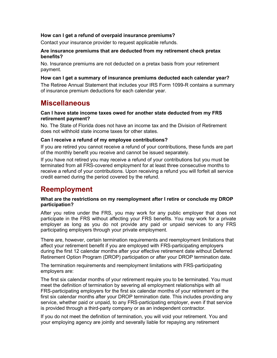### **How can I get a refund of overpaid insurance premiums?**

Contact your insurance provider to request applicable refunds.

#### **Are insurance premiums that are deducted from my retirement check pretax benefits?**

No. Insurance premiums are not deducted on a pretax basis from your retirement payment.

### **How can I get a summary of insurance premiums deducted each calendar year?**

The Retiree Annual Statement that includes your IRS Form 1099-R contains a summary of insurance premium deductions for each calendar year.

### <span id="page-4-0"></span>**Miscellaneous**

#### **Can I have state income taxes owed for another state deducted from my FRS retirement payment?**

No. The State of Florida does not have an income tax and the Division of Retirement does not withhold state income taxes for other states.

### **Can I receive a refund of my employee contributions?**

If you are retired you cannot receive a refund of your contributions, these funds are part of the monthly benefit you receive and cannot be issued separately.

If you have not retired you may receive a refund of your contributions but you must be terminated from all FRS-covered employment for at least three consecutive months to receive a refund of your contributions. Upon receiving a refund you will forfeit all service credit earned during the period covered by the refund.

### <span id="page-4-1"></span>**Reemployment**

### **What are the restrictions on my reemployment after I retire or conclude my DROP participation?**

After you retire under the FRS, you may work for any public employer that does not participate in the FRS without affecting your FRS benefits. You may work for a private employer as long as you do not provide any paid or unpaid services to any FRS participating employers through your private employment.

There are, however, certain termination requirements and reemployment limitations that affect your retirement benefit if you are employed with FRS-participating employers during the first 12 calendar months after your effective retirement date without Deferred Retirement Option Program (DROP) participation or after your DROP termination date.

The termination requirements and reemployment limitations with FRS-participating employers are:

The first six calendar months of your retirement require you to be terminated. You must meet the definition of termination by severing all employment relationships with all FRS-participating employers for the first six calendar months of your retirement or the first six calendar months after your DROP termination date. This includes providing any service, whether paid or unpaid, to any FRS-participating employer, even if that service is provided through a third-party company or as an independent contractor.

If you do not meet the definition of termination, you will void your retirement. You and your employing agency are jointly and severally liable for repaying any retirement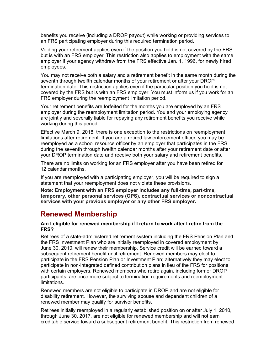benefits you receive (including a DROP payout) while working or providing services to an FRS participating employer during this required termination period.

Voiding your retirement applies even if the position you hold is not covered by the FRS but is with an FRS employer. This restriction also applies to employment with the same employer if your agency withdrew from the FRS effective Jan. 1, 1996, for newly hired employees.

You may not receive both a salary and a retirement benefit in the same month during the seventh through twelfth calendar months of your retirement or after your DROP termination date. This restriction applies even if the particular position you hold is not covered by the FRS but is with an FRS employer. You must inform us if you work for an FRS employer during the reemployment limitation period.

Your retirement benefits are forfeited for the months you are employed by an FRS employer during the reemployment limitation period. You and your employing agency are jointly and severally liable for repaying any retirement benefits you receive while working during this period.

Effective March 9, 2018, there is one exception to the restrictions on reemployment limitations after retirement. If you are a retired law enforcement officer, you may be reemployed as a school resource officer by an employer that participates in the FRS during the seventh through twelfth calendar months after your retirement date or after your DROP termination date and receive both your salary and retirement benefits.

There are no limits on working for an FRS employer after you have been retired for 12 calendar months.

If you are reemployed with a participating employer, you will be required to sign a statement that your reemployment does not violate these provisions.

**Note: Employment with an FRS employer includes any full-time, part-time, temporary, other personal services (OPS), contractual services or noncontractual services with your previous employer or any other FRS employer.**

### <span id="page-5-0"></span>**Renewed Membership**

### **Am I eligible for renewed membership if I return to work after I retire from the FRS?**

Retirees of a state-administered retirement system including the FRS Pension Plan and the FRS Investment Plan who are initially reemployed in covered employment by June 30, 2010, will renew their membership. Service credit will be earned toward a subsequent retirement benefit until retirement. Renewed members may elect to participate in the FRS Pension Plan or Investment Plan; alternatively they may elect to participate in non-integrated defined contribution plans in lieu of the FRS for positions with certain employers. Renewed members who retire again, including former DROP participants, are once more subject to termination requirements and reemployment limitations.

Renewed members are not eligible to participate in DROP and are not eligible for disability retirement. However, the surviving spouse and dependent children of a renewed member may qualify for survivor benefits.

Retirees initially reemployed in a regularly established position on or after July 1, 2010, through June 30, 2017, are not eligible for renewed membership and will not earn creditable service toward a subsequent retirement benefit. This restriction from renewed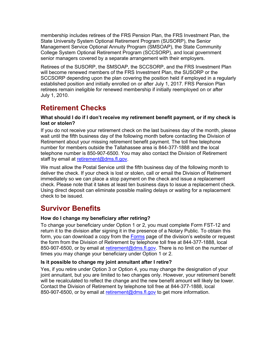membership includes retirees of the FRS Pension Plan, the FRS Investment Plan, the State University System Optional Retirement Program (SUSORP), the Senior Management Service Optional Annuity Program (SMSOAP), the State Community College System Optional Retirement Program (SCCSORP), and local government senior managers covered by a separate arrangement with their employers.

Retirees of the SUSORP, the SMSOAP, the SCCSORP, and the FRS Investment Plan will become renewed members of the FRS Investment Plan, the SUSORP or the SCCSORP depending upon the plan covering the position held if employed in a regularly established position and initially enrolled on or after July 1, 2017. FRS Pension Plan retirees remain ineligible for renewed membership if initially reemployed on or after July 1, 2010.

## <span id="page-6-0"></span>**Retirement Checks**

### **What should I do if I don't receive my retirement benefit payment, or if my check is lost or stolen?**

If you do not receive your retirement check on the last business day of the month, please wait until the fifth business day of the following month before contacting the Division of Retirement about your missing retirement benefit payment. The toll free telephone number for members outside the Tallahassee area is 844-377-1888 and the local telephone number is 850-907-6500. You may also contact the Division of Retirement staff by email at [retirement@dms.fl.gov.](mailto:retirement@dms.fl.gov)

We must allow the Postal Service until the fifth business day of the following month to deliver the check. If your check is lost or stolen, call or email the Division of Retirement immediately so we can place a stop payment on the check and issue a replacement check. Please note that it takes at least ten business days to issue a replacement check. Using direct deposit can eliminate possible mailing delays or waiting for a replacement check to be issued.

## <span id="page-6-1"></span>**Survivor Benefits**

### **How do I change my beneficiary after retiring?**

To change your beneficiary under Option 1 or 2, you must complete Form FST-12 and return it to the division after signing it in the presence of a Notary Public. To obtain this form, you can download a copy from the [Forms](http://dms.myflorida.com/human_resource_support/retirement/forms) page of the division's website or request the form from the Division of Retirement by telephone toll free at 844-377-1888, local 850-907-6500, or by email at [retirement@dms.fl.gov.](mailto:retirement@dms.fl.gov) There is no limit on the number of times you may change your beneficiary under Option 1 or 2.

### **Is it possible to change my joint annuitant after I retire?**

Yes, if you retire under Option 3 or Option 4, you may change the designation of your joint annuitant, but you are limited to two changes only. However, your retirement benefit will be recalculated to reflect the change and the new benefit amount will likely be lower. Contact the Division of Retirement by telephone toll free at 844-377-1888, local 850-907-6500, or by email at [retirement@dms.fl.gov](mailto:retirement@dms.fl.gov) to get more information.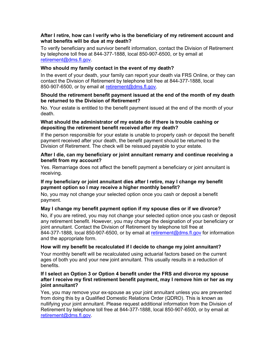### **After I retire, how can I verify who is the beneficiary of my retirement account and what benefits will be due at my death?**

To verify beneficiary and survivor benefit information, contact the Division of Retirement by telephone toll free at 844-377-1888, local 850-907-6500, or by email at [retirement@dms.fl.gov.](mailto:retirement@dms.fl.gov)

### **Who should my family contact in the event of my death?**

In the event of your death, your family can report your death via FRS Online, or they can contact the Division of Retirement by telephone toll free at 844-377-1888, local 850-907-6500, or by email at [retirement@dms.fl.gov.](mailto:retirement@dms.fl.gov)

### **Should the retirement benefit payment issued at the end of the month of my death be returned to the Division of Retirement?**

No. Your estate is entitled to the benefit payment issued at the end of the month of your death.

### **What should the administrator of my estate do if there is trouble cashing or depositing the retirement benefit received after my death?**

If the person responsible for your estate is unable to properly cash or deposit the benefit payment received after your death, the benefit payment should be returned to the Division of Retirement. The check will be reissued payable to your estate.

### **After I die, can my beneficiary or joint annuitant remarry and continue receiving a benefit from my account?**

Yes. Remarriage does not affect the benefit payment a beneficiary or joint annuitant is receiving.

### **If my beneficiary or joint annuitant dies after I retire, may I change my benefit payment option so I may receive a higher monthly benefit?**

No, you may not change your selected option once you cash or deposit a benefit payment.

### **May I change my benefit payment option if my spouse dies or if we divorce?**

No, if you are retired, you may not change your selected option once you cash or deposit any retirement benefit. However, you may change the designation of your beneficiary or joint annuitant. Contact the Division of Retirement by telephone toll free at 844-377-1888, local 850-907-6500, or by email at [retirement@dms.fl.gov](mailto:retirement@dms.fl.gov) for information and the appropriate form.

### **How will my benefit be recalculated if I decide to change my joint annuitant?**

Your monthly benefit will be recalculated using actuarial factors based on the current ages of both you and your new joint annuitant. This usually results in a reduction of benefits.

### **If I select an Option 3 or Option 4 benefit under the FRS and divorce my spouse after I receive my first retirement benefit payment, may I remove him or her as my joint annuitant?**

Yes, you may remove your ex-spouse as your joint annuitant unless you are prevented from doing this by a Qualified Domestic Relations Order (QDRO). This is known as nullifying your joint annuitant. Please request additional information from the Division of Retirement by telephone toll free at 844-377-1888, local 850-907-6500, or by email at [retirement@dms.fl.gov.](mailto:retirement@dms.fl.gov)